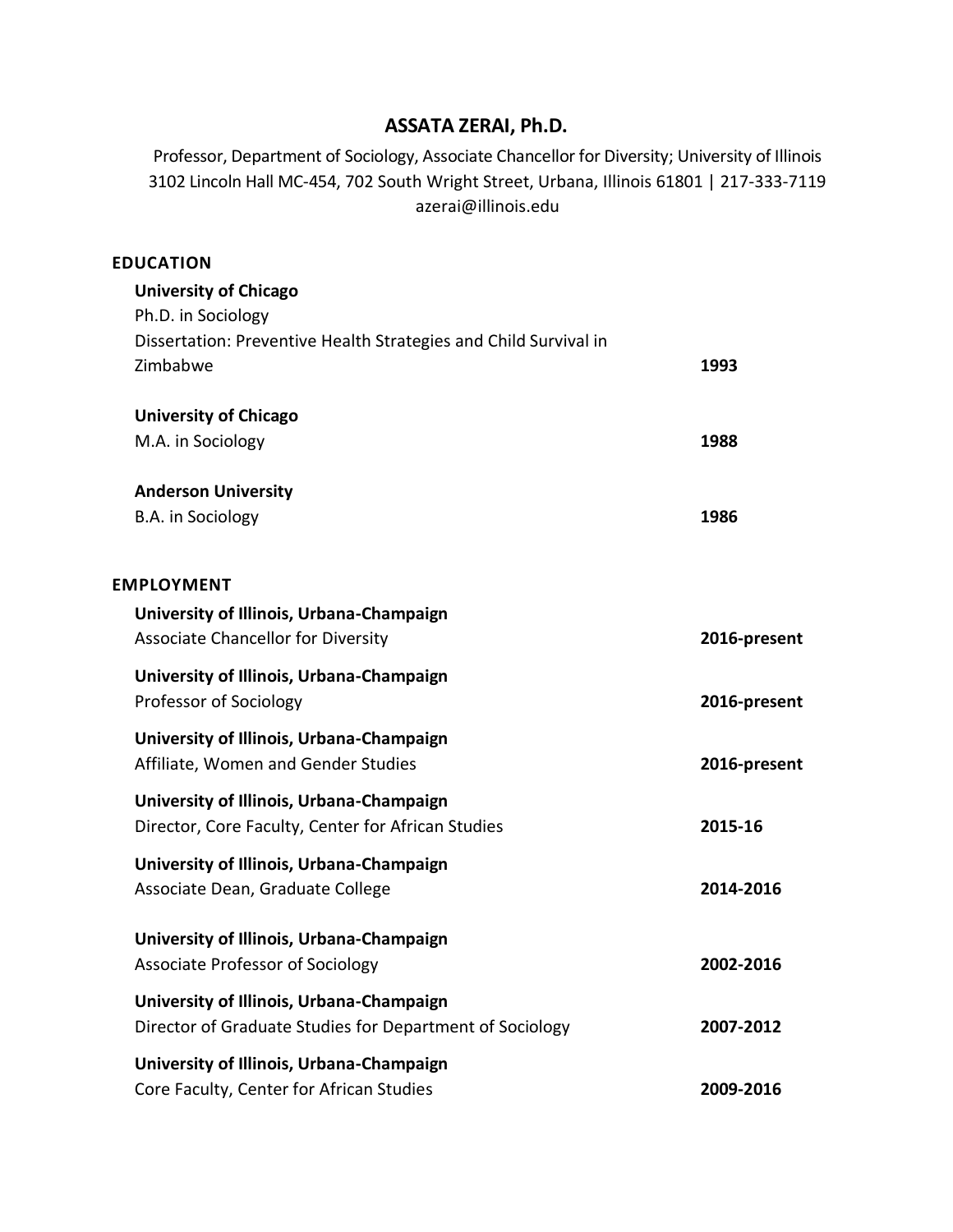# **ASSATA ZERAI, Ph.D.**

Professor, Department of Sociology, Associate Chancellor for Diversity; University of Illinois 3102 Lincoln Hall MC-454, 702 South Wright Street, Urbana, Illinois 61801 | 217-333-7119 azerai@illinois.edu

## **EDUCATION**

| <b>University of Chicago</b>                                     |              |
|------------------------------------------------------------------|--------------|
| Ph.D. in Sociology                                               |              |
| Dissertation: Preventive Health Strategies and Child Survival in |              |
| Zimbabwe                                                         | 1993         |
| <b>University of Chicago</b>                                     |              |
| M.A. in Sociology                                                | 1988         |
| <b>Anderson University</b>                                       |              |
| B.A. in Sociology                                                | 1986         |
| <b>EMPLOYMENT</b>                                                |              |
| University of Illinois, Urbana-Champaign                         |              |
| <b>Associate Chancellor for Diversity</b>                        | 2016-present |
| University of Illinois, Urbana-Champaign                         |              |
| Professor of Sociology                                           | 2016-present |
| University of Illinois, Urbana-Champaign                         |              |
| Affiliate, Women and Gender Studies                              | 2016-present |
| University of Illinois, Urbana-Champaign                         |              |
| Director, Core Faculty, Center for African Studies               | 2015-16      |
| University of Illinois, Urbana-Champaign                         |              |
| Associate Dean, Graduate College                                 | 2014-2016    |
| University of Illinois, Urbana-Champaign                         |              |
| Associate Professor of Sociology                                 | 2002-2016    |
| University of Illinois, Urbana-Champaign                         |              |
| Director of Graduate Studies for Department of Sociology         | 2007-2012    |
| University of Illinois, Urbana-Champaign                         |              |
| Core Faculty, Center for African Studies                         | 2009-2016    |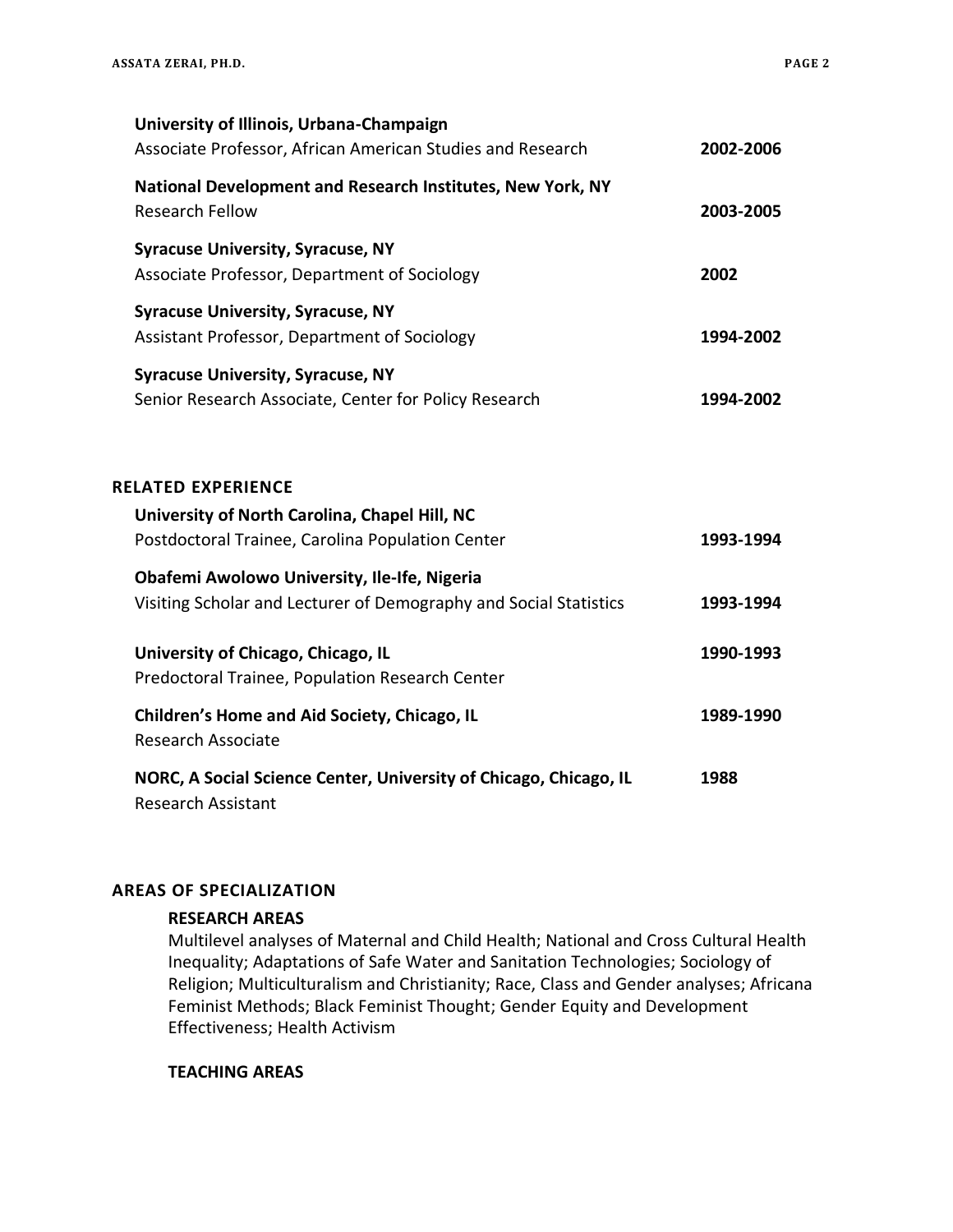| University of Illinois, Urbana-Champaign<br>Associate Professor, African American Studies and Research                   | 2002-2006 |
|--------------------------------------------------------------------------------------------------------------------------|-----------|
| National Development and Research Institutes, New York, NY<br><b>Research Fellow</b>                                     | 2003-2005 |
| <b>Syracuse University, Syracuse, NY</b><br>Associate Professor, Department of Sociology                                 | 2002      |
| <b>Syracuse University, Syracuse, NY</b><br>Assistant Professor, Department of Sociology                                 | 1994-2002 |
| <b>Syracuse University, Syracuse, NY</b><br>Senior Research Associate, Center for Policy Research                        | 1994-2002 |
| <b>RELATED EXPERIENCE</b><br>University of North Carolina, Chapel Hill, NC                                               |           |
| Postdoctoral Trainee, Carolina Population Center                                                                         | 1993-1994 |
| <b>Obafemi Awolowo University, Ile-Ife, Nigeria</b><br>Visiting Scholar and Lecturer of Demography and Social Statistics | 1993-1994 |
| University of Chicago, Chicago, IL<br>Predoctoral Trainee, Population Research Center                                    | 1990-1993 |
| <b>Children's Home and Aid Society, Chicago, IL</b><br><b>Research Associate</b>                                         | 1989-1990 |
| NORC, A Social Science Center, University of Chicago, Chicago, IL<br><b>Research Assistant</b>                           | 1988      |

## **AREAS OF SPECIALIZATION**

## **RESEARCH AREAS**

Multilevel analyses of Maternal and Child Health; National and Cross Cultural Health Inequality; Adaptations of Safe Water and Sanitation Technologies; Sociology of Religion; Multiculturalism and Christianity; Race, Class and Gender analyses; Africana Feminist Methods; Black Feminist Thought; Gender Equity and Development Effectiveness; Health Activism

**TEACHING AREAS**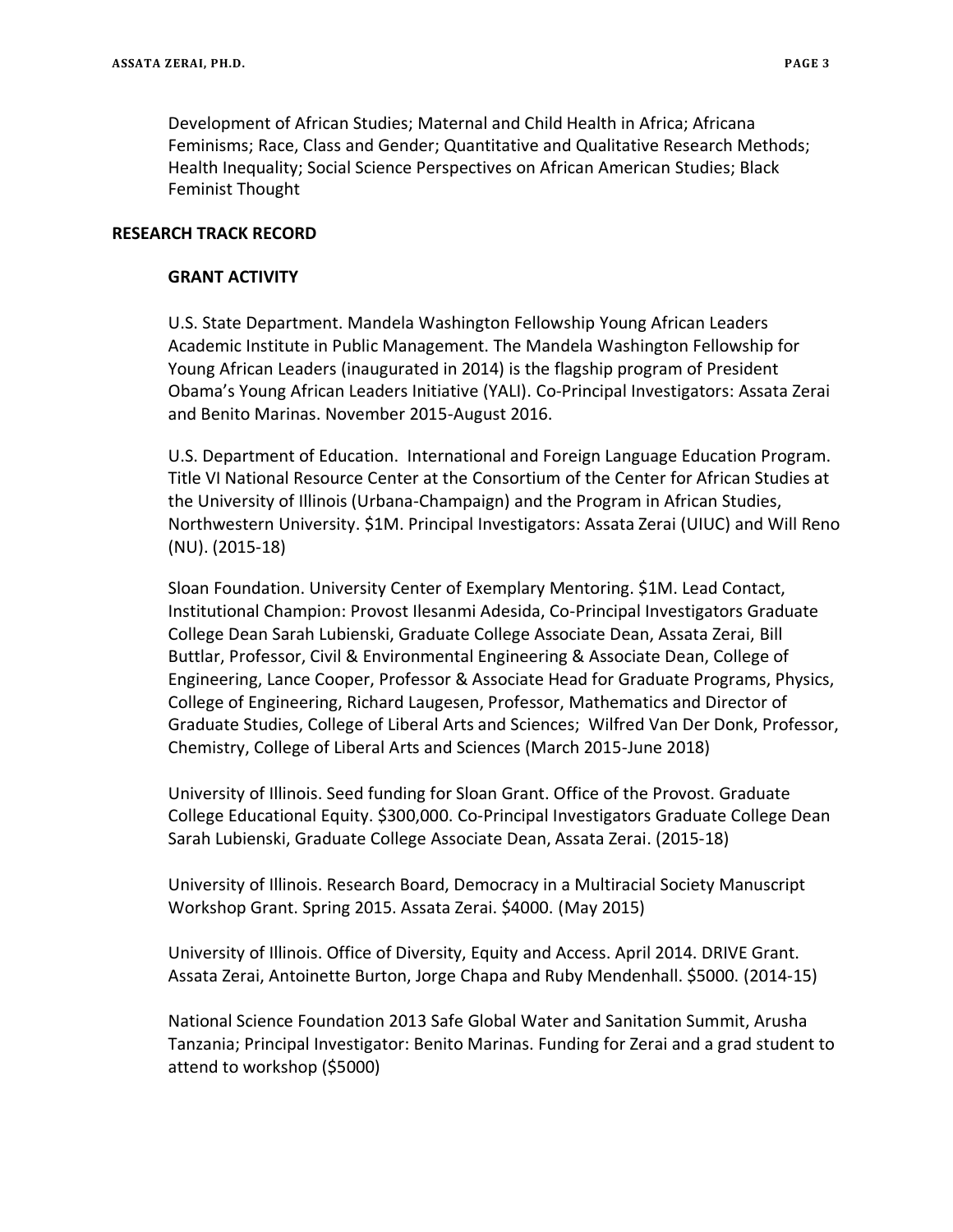Development of African Studies; Maternal and Child Health in Africa; Africana Feminisms; Race, Class and Gender; Quantitative and Qualitative Research Methods; Health Inequality; Social Science Perspectives on African American Studies; Black Feminist Thought

#### **RESEARCH TRACK RECORD**

#### **GRANT ACTIVITY**

U.S. State Department. Mandela Washington Fellowship Young African Leaders Academic Institute in Public Management. The Mandela Washington Fellowship for Young African Leaders (inaugurated in 2014) is the flagship program of President Obama's Young African Leaders Initiative (YALI). Co-Principal Investigators: Assata Zerai and Benito Marinas. November 2015-August 2016.

U.S. Department of Education. International and Foreign Language Education Program. Title VI National Resource Center at the Consortium of the Center for African Studies at the University of Illinois (Urbana-Champaign) and the Program in African Studies, Northwestern University. \$1M. Principal Investigators: Assata Zerai (UIUC) and Will Reno (NU). (2015-18)

Sloan Foundation. University Center of Exemplary Mentoring. \$1M. Lead Contact, Institutional Champion: Provost Ilesanmi Adesida, Co-Principal Investigators Graduate College Dean Sarah Lubienski, Graduate College Associate Dean, Assata Zerai, Bill Buttlar, Professor, Civil & Environmental Engineering & Associate Dean, College of Engineering, Lance Cooper, Professor & Associate Head for Graduate Programs, Physics, College of Engineering, Richard Laugesen, Professor, Mathematics and Director of Graduate Studies, College of Liberal Arts and Sciences; Wilfred Van Der Donk, Professor, Chemistry, College of Liberal Arts and Sciences (March 2015-June 2018)

University of Illinois. Seed funding for Sloan Grant. Office of the Provost. Graduate College Educational Equity. \$300,000. Co-Principal Investigators Graduate College Dean Sarah Lubienski, Graduate College Associate Dean, Assata Zerai. (2015-18)

University of Illinois. Research Board, Democracy in a Multiracial Society Manuscript Workshop Grant. Spring 2015. Assata Zerai. \$4000. (May 2015)

University of Illinois. Office of Diversity, Equity and Access. April 2014. DRIVE Grant. Assata Zerai, Antoinette Burton, Jorge Chapa and Ruby Mendenhall. \$5000. (2014-15)

National Science Foundation 2013 Safe Global Water and Sanitation Summit, Arusha Tanzania; Principal Investigator: Benito Marinas. Funding for Zerai and a grad student to attend to workshop (\$5000)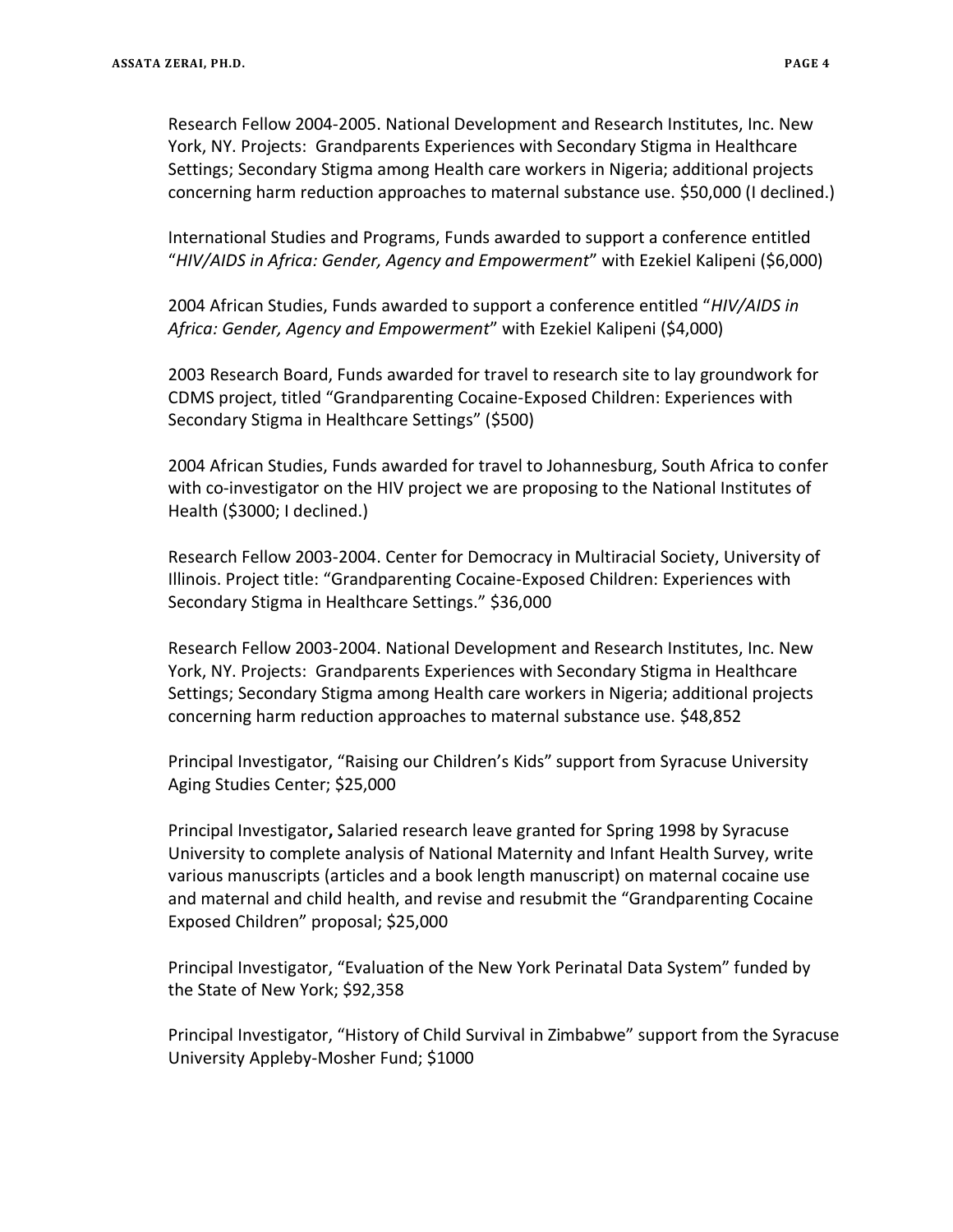Research Fellow 2004-2005. National Development and Research Institutes, Inc. New York, NY. Projects: Grandparents Experiences with Secondary Stigma in Healthcare Settings; Secondary Stigma among Health care workers in Nigeria; additional projects concerning harm reduction approaches to maternal substance use. \$50,000 (I declined.)

International Studies and Programs, Funds awarded to support a conference entitled "*HIV/AIDS in Africa: Gender, Agency and Empowerment*" with Ezekiel Kalipeni (\$6,000)

2004 African Studies, Funds awarded to support a conference entitled "*HIV/AIDS in Africa: Gender, Agency and Empowerment*" with Ezekiel Kalipeni (\$4,000)

2003 Research Board, Funds awarded for travel to research site to lay groundwork for CDMS project, titled "Grandparenting Cocaine-Exposed Children: Experiences with Secondary Stigma in Healthcare Settings" (\$500)

2004 African Studies, Funds awarded for travel to Johannesburg, South Africa to confer with co-investigator on the HIV project we are proposing to the National Institutes of Health (\$3000; I declined.)

Research Fellow 2003-2004. Center for Democracy in Multiracial Society, University of Illinois. Project title: "Grandparenting Cocaine-Exposed Children: Experiences with Secondary Stigma in Healthcare Settings." \$36,000

Research Fellow 2003-2004. National Development and Research Institutes, Inc. New York, NY. Projects: Grandparents Experiences with Secondary Stigma in Healthcare Settings; Secondary Stigma among Health care workers in Nigeria; additional projects concerning harm reduction approaches to maternal substance use. \$48,852

Principal Investigator, "Raising our Children's Kids" support from Syracuse University Aging Studies Center; \$25,000

Principal Investigator**,** Salaried research leave granted for Spring 1998 by Syracuse University to complete analysis of National Maternity and Infant Health Survey, write various manuscripts (articles and a book length manuscript) on maternal cocaine use and maternal and child health, and revise and resubmit the "Grandparenting Cocaine Exposed Children" proposal; \$25,000

Principal Investigator, "Evaluation of the New York Perinatal Data System" funded by the State of New York; \$92,358

Principal Investigator, "History of Child Survival in Zimbabwe" support from the Syracuse University Appleby-Mosher Fund; \$1000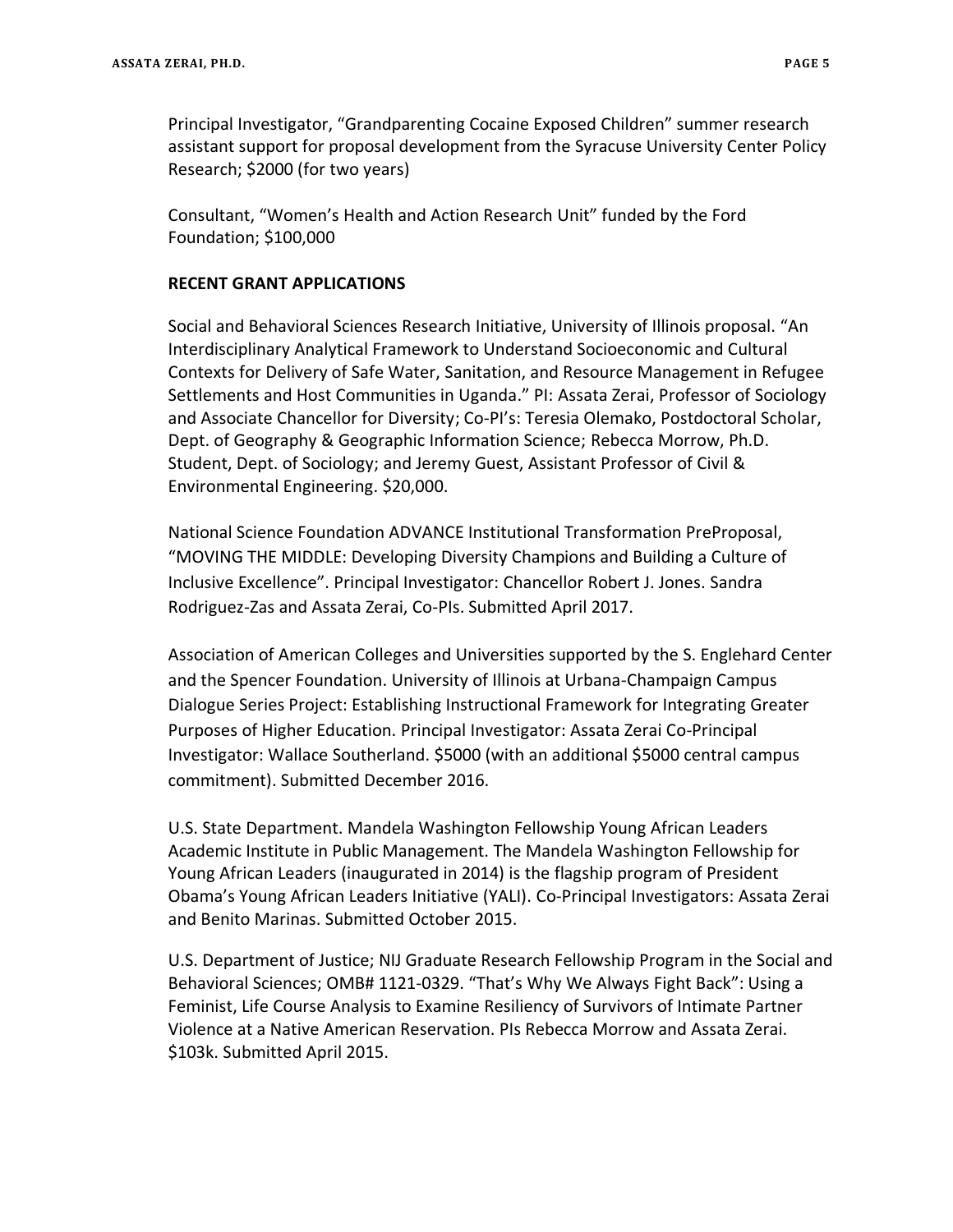Principal Investigator, "Grandparenting Cocaine Exposed Children" summer research assistant support for proposal development from the Syracuse University Center Policy Research; \$2000 (for two years)

Consultant, "Women's Health and Action Research Unit" funded by the Ford Foundation; \$100,000

#### **RECENT GRANT APPLICATIONS**

Social and Behavioral Sciences Research Initiative, University of Illinois proposal. "An Interdisciplinary Analytical Framework to Understand Socioeconomic and Cultural Contexts for Delivery of Safe Water, Sanitation, and Resource Management in Refugee Settlements and Host Communities in Uganda." PI: Assata Zerai, Professor of Sociology and Associate Chancellor for Diversity; Co-PI's: Teresia Olemako, Postdoctoral Scholar, Dept. of Geography & Geographic Information Science; Rebecca Morrow, Ph.D. Student, Dept. of Sociology; and Jeremy Guest, Assistant Professor of Civil & Environmental Engineering. \$20,000.

National Science Foundation ADVANCE Institutional Transformation PreProposal, "MOVING THE MIDDLE: Developing Diversity Champions and Building a Culture of Inclusive Excellence". Principal Investigator: Chancellor Robert J. Jones. Sandra Rodriguez-Zas and Assata Zerai, Co-PIs. Submitted April 2017.

Association of American Colleges and Universities supported by the S. Englehard Center and the Spencer Foundation. University of Illinois at Urbana-Champaign Campus Dialogue Series Project: Establishing Instructional Framework for Integrating Greater Purposes of Higher Education. Principal Investigator: Assata Zerai Co-Principal Investigator: Wallace Southerland. \$5000 (with an additional \$5000 central campus commitment). Submitted December 2016.

U.S. State Department. Mandela Washington Fellowship Young African Leaders Academic Institute in Public Management. The Mandela Washington Fellowship for Young African Leaders (inaugurated in 2014) is the flagship program of President Obama's Young African Leaders Initiative (YALI). Co-Principal Investigators: Assata Zerai and Benito Marinas. Submitted October 2015.

U.S. Department of Justice; NIJ Graduate Research Fellowship Program in the Social and Behavioral Sciences; OMB# 1121-0329. "That's Why We Always Fight Back": Using a Feminist, Life Course Analysis to Examine Resiliency of Survivors of Intimate Partner Violence at a Native American Reservation. PIs Rebecca Morrow and Assata Zerai. \$103k. Submitted April 2015.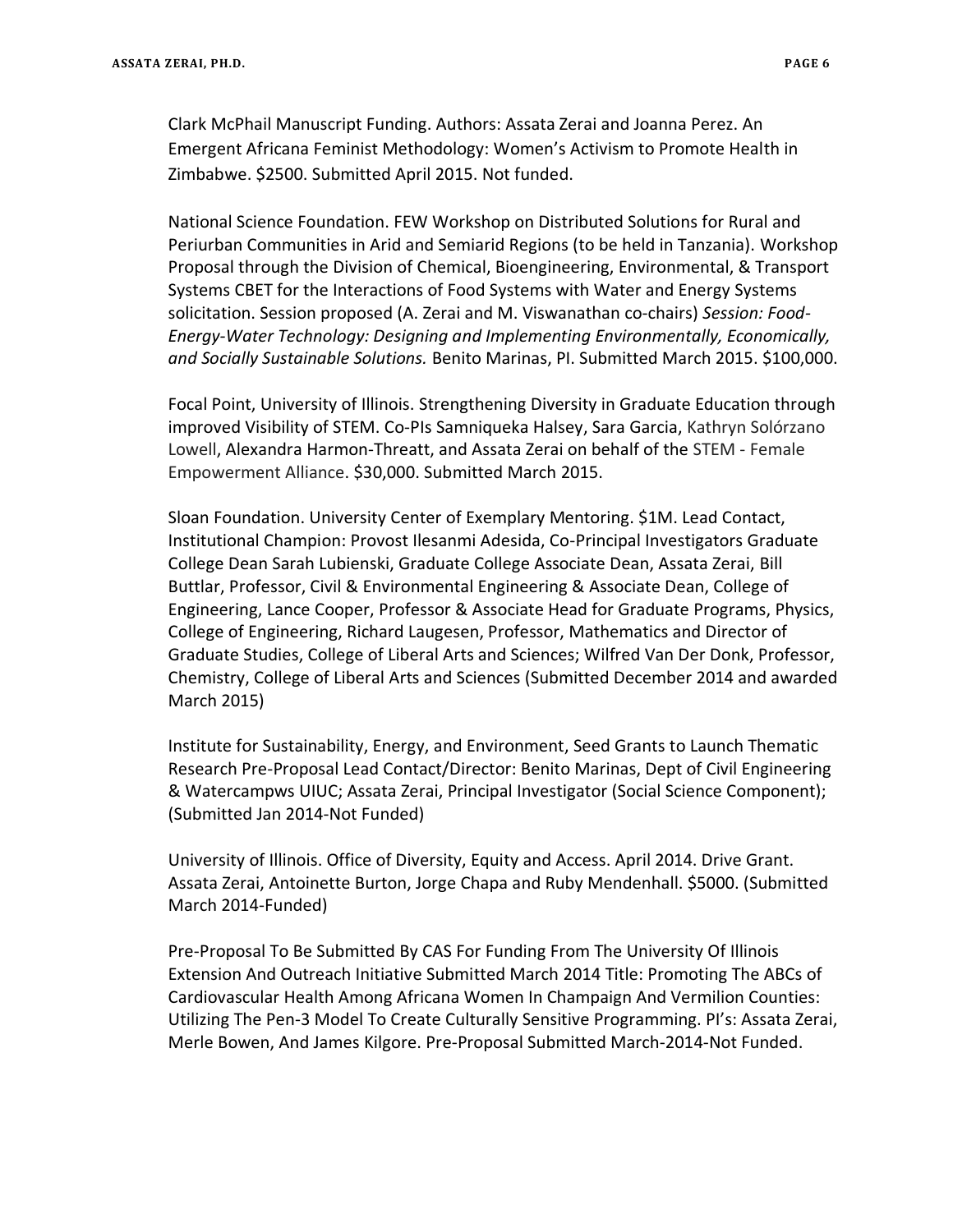Clark McPhail Manuscript Funding. Authors: Assata Zerai and Joanna Perez. An Emergent Africana Feminist Methodology: Women's Activism to Promote Health in Zimbabwe. \$2500. Submitted April 2015. Not funded.

National Science Foundation. FEW Workshop on Distributed Solutions for Rural and Periurban Communities in Arid and Semiarid Regions (to be held in Tanzania). Workshop Proposal through the Division of Chemical, Bioengineering, Environmental, & Transport Systems CBET for the Interactions of Food Systems with Water and Energy Systems solicitation. Session proposed (A. Zerai and M. Viswanathan co-chairs) *Session: Food-Energy-Water Technology: Designing and Implementing Environmentally, Economically, and Socially Sustainable Solutions.* Benito Marinas, PI. Submitted March 2015. \$100,000.

Focal Point, University of Illinois. Strengthening Diversity in Graduate Education through improved Visibility of STEM. Co-PIs Samniqueka Halsey, Sara Garcia, Kathryn Solórzano Lowell, Alexandra Harmon-Threatt, and Assata Zerai on behalf of the STEM - Female Empowerment Alliance. \$30,000. Submitted March 2015.

Sloan Foundation. University Center of Exemplary Mentoring. \$1M. Lead Contact, Institutional Champion: Provost Ilesanmi Adesida, Co-Principal Investigators Graduate College Dean Sarah Lubienski, Graduate College Associate Dean, Assata Zerai, Bill Buttlar, Professor, Civil & Environmental Engineering & Associate Dean, College of Engineering, Lance Cooper, Professor & Associate Head for Graduate Programs, Physics, College of Engineering, Richard Laugesen, Professor, Mathematics and Director of Graduate Studies, College of Liberal Arts and Sciences; Wilfred Van Der Donk, Professor, Chemistry, College of Liberal Arts and Sciences (Submitted December 2014 and awarded March 2015)

Institute for Sustainability, Energy, and Environment, Seed Grants to Launch Thematic Research Pre-Proposal Lead Contact/Director: Benito Marinas, Dept of Civil Engineering & Watercampws UIUC; Assata Zerai, Principal Investigator (Social Science Component); (Submitted Jan 2014-Not Funded)

University of Illinois. Office of Diversity, Equity and Access. April 2014. Drive Grant. Assata Zerai, Antoinette Burton, Jorge Chapa and Ruby Mendenhall. \$5000. (Submitted March 2014-Funded)

Pre-Proposal To Be Submitted By CAS For Funding From The University Of Illinois Extension And Outreach Initiative Submitted March 2014 Title: Promoting The ABCs of Cardiovascular Health Among Africana Women In Champaign And Vermilion Counties: Utilizing The Pen-3 Model To Create Culturally Sensitive Programming. PI's: Assata Zerai, Merle Bowen, And James Kilgore. Pre-Proposal Submitted March-2014-Not Funded.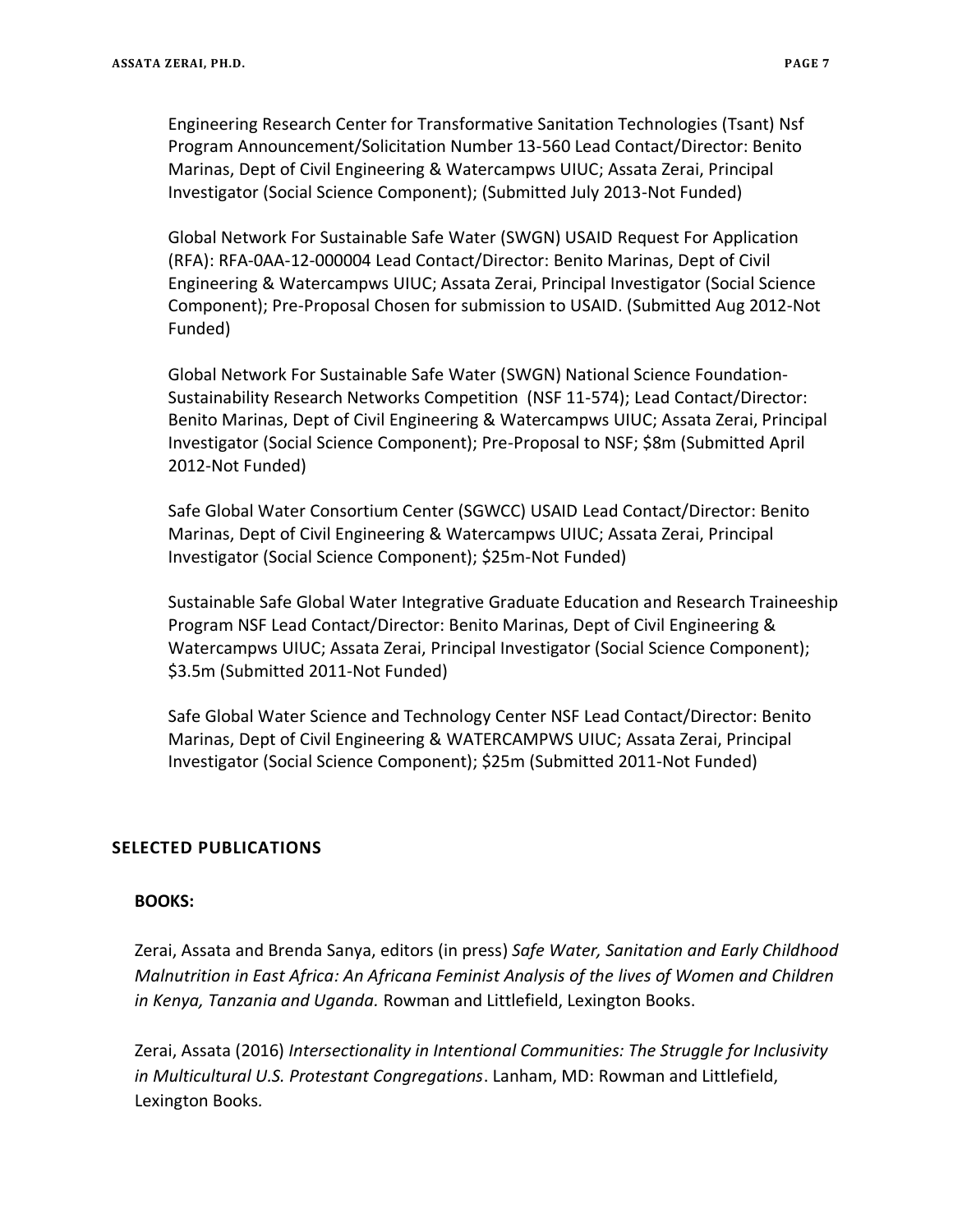Engineering Research Center for Transformative Sanitation Technologies (Tsant) Nsf Program Announcement/Solicitation Number 13-560 Lead Contact/Director: Benito Marinas, Dept of Civil Engineering & Watercampws UIUC; Assata Zerai, Principal Investigator (Social Science Component); (Submitted July 2013-Not Funded)

Global Network For Sustainable Safe Water (SWGN) USAID Request For Application (RFA): RFA-0AA-12-000004 Lead Contact/Director: Benito Marinas, Dept of Civil Engineering & Watercampws UIUC; Assata Zerai, Principal Investigator (Social Science Component); Pre-Proposal Chosen for submission to USAID. (Submitted Aug 2012-Not Funded)

Global Network For Sustainable Safe Water (SWGN) National Science Foundation-Sustainability Research Networks Competition (NSF 11-574); Lead Contact/Director: Benito Marinas, Dept of Civil Engineering & Watercampws UIUC; Assata Zerai, Principal Investigator (Social Science Component); Pre-Proposal to NSF; \$8m (Submitted April 2012-Not Funded)

Safe Global Water Consortium Center (SGWCC) USAID Lead Contact/Director: Benito Marinas, Dept of Civil Engineering & Watercampws UIUC; Assata Zerai, Principal Investigator (Social Science Component); \$25m-Not Funded)

Sustainable Safe Global Water Integrative Graduate Education and Research Traineeship Program NSF Lead Contact/Director: Benito Marinas, Dept of Civil Engineering & Watercampws UIUC; Assata Zerai, Principal Investigator (Social Science Component); \$3.5m (Submitted 2011-Not Funded)

Safe Global Water Science and Technology Center NSF Lead Contact/Director: Benito Marinas, Dept of Civil Engineering & WATERCAMPWS UIUC; Assata Zerai, Principal Investigator (Social Science Component); \$25m (Submitted 2011-Not Funded)

# **SELECTED PUBLICATIONS**

## **BOOKS:**

Zerai, Assata and Brenda Sanya, editors (in press) *Safe Water, Sanitation and Early Childhood Malnutrition in East Africa: An Africana Feminist Analysis of the lives of Women and Children in Kenya, Tanzania and Uganda.* Rowman and Littlefield, Lexington Books.

Zerai, Assata (2016) *Intersectionality in Intentional Communities: The Struggle for Inclusivity in Multicultural U.S. Protestant Congregations*. Lanham, MD: Rowman and Littlefield, Lexington Books*.*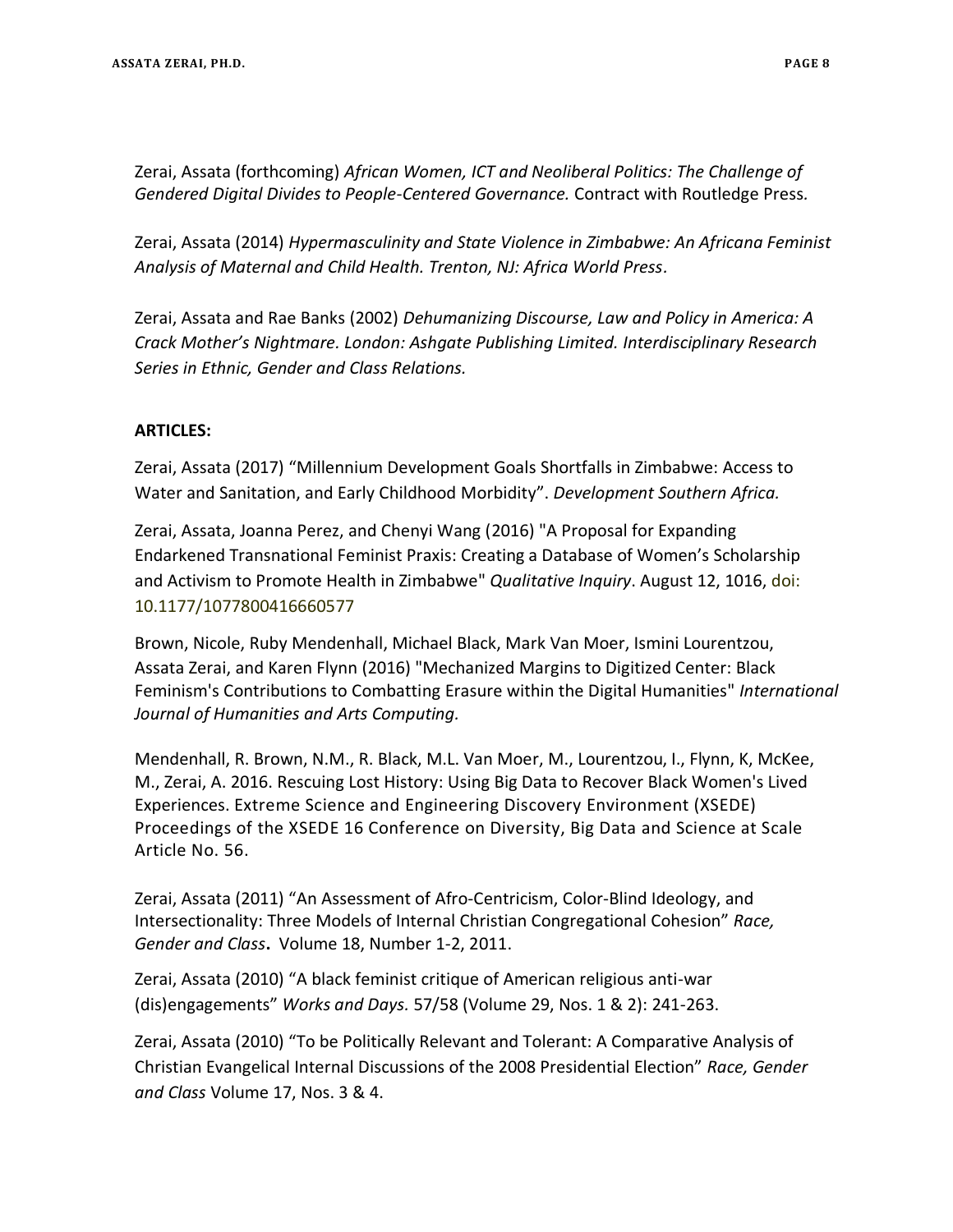Zerai, Assata (forthcoming) *African Women, ICT and Neoliberal Politics: The Challenge of Gendered Digital Divides to People-Centered Governance.* Contract with Routledge Press*.*

Zerai, Assata (2014) *Hypermasculinity and State Violence in Zimbabwe: An Africana Feminist Analysis of Maternal and Child Health. Trenton, NJ: Africa World Press.*

Zerai, Assata and Rae Banks (2002) *Dehumanizing Discourse, Law and Policy in America: A Crack Mother's Nightmare. London: Ashgate Publishing Limited. Interdisciplinary Research Series in Ethnic, Gender and Class Relations.* 

# **ARTICLES:**

Zerai, Assata (2017) "Millennium Development Goals Shortfalls in Zimbabwe: Access to Water and Sanitation, and Early Childhood Morbidity". *Development Southern Africa.*

Zerai, Assata, Joanna Perez, and Chenyi Wang (2016) "A Proposal for Expanding Endarkened Transnational Feminist Praxis: Creating a Database of Women's Scholarship and Activism to Promote Health in Zimbabwe" *Qualitative Inquiry*. August 12, 1016, doi: 10.1177/1077800416660577

Brown, Nicole, Ruby Mendenhall, Michael Black, Mark Van Moer, Ismini Lourentzou, Assata Zerai, and Karen Flynn (2016) "Mechanized Margins to Digitized Center: Black Feminism's Contributions to Combatting Erasure within the Digital Humanities" *International Journal of Humanities and Arts Computing.*

Mendenhall, R. Brown, N.M., R. Black, M.L. Van Moer, M., Lourentzou, I., Flynn, K, McKee, M., Zerai, A. 2016. Rescuing Lost History: Using Big Data to Recover Black Women's Lived Experiences. Extreme Science and Engineering Discovery Environment (XSEDE) Proceedings of the XSEDE 16 Conference on Diversity, Big Data and Science at Scale Article No. 56.

Zerai, Assata (2011) "An Assessment of Afro-Centricism, Color-Blind Ideology, and Intersectionality: Three Models of Internal Christian Congregational Cohesion" *Race, Gender and Class***.** Volume 18, Number 1-2, 2011.

Zerai, Assata (2010) "A black feminist critique of American religious anti-war (dis)engagements" *Works and Days.* 57/58 (Volume 29, Nos. 1 & 2): 241-263.

Zerai, Assata (2010) "To be Politically Relevant and Tolerant: A Comparative Analysis of Christian Evangelical Internal Discussions of the 2008 Presidential Election" *Race, Gender and Class* Volume 17, Nos. 3 & 4.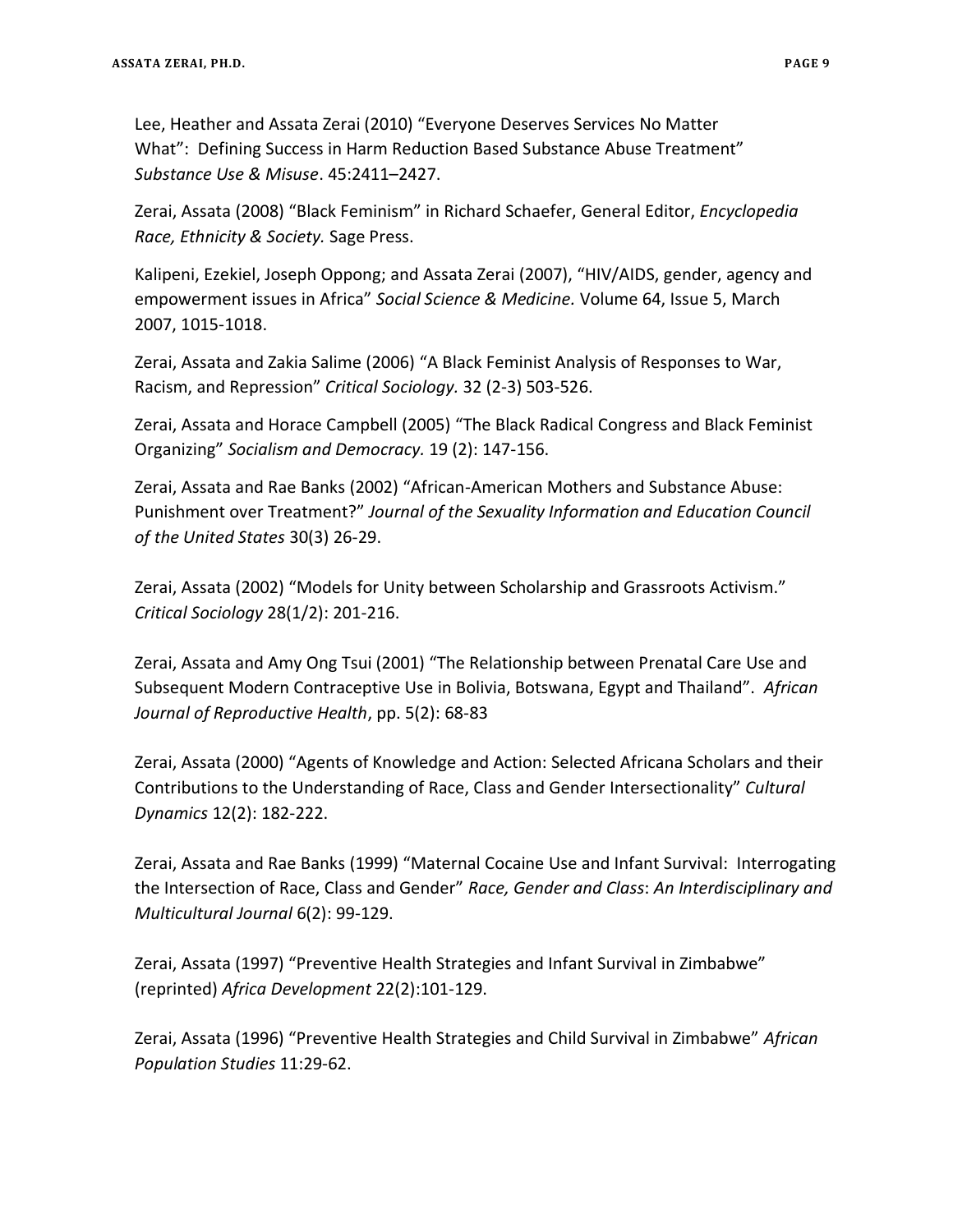Lee, Heather and Assata Zerai (2010) "Everyone Deserves Services No Matter What": Defining Success in Harm Reduction Based Substance Abuse Treatment" *Substance Use & Misuse*. 45:2411–2427.

Zerai, Assata (2008) "Black Feminism" in Richard Schaefer, General Editor, *Encyclopedia Race, Ethnicity & Society.* Sage Press.

Kalipeni, Ezekiel, Joseph Oppong; and Assata Zerai (2007), "HIV/AIDS, gender, agency and empowerment issues in Africa" *[Social Science & Medicine.](http://www.sciencedirect.com/science/journal/02779536)* [Volume 64, Issue 5,](http://www.sciencedirect.com/science?_ob=PublicationURL&_tockey=%23TOC%235925%232007%23999359994%23643811%23FLA%23&_cdi=5925&_pubType=J&view=c&_auth=y&_acct=C000050221&_version=1&_urlVersion=0&_userid=10&md5=432d2774be5cddb411f104a072018a1e) March 2007, 1015-1018.

Zerai, Assata and Zakia Salime (2006) "A Black Feminist Analysis of Responses to War, Racism, and Repression" *Critical Sociology.* 32 (2-3) 503-526.

Zerai, Assata and Horace Campbell (2005) "The Black Radical Congress and Black Feminist Organizing" *Socialism and Democracy.* 19 (2): 147-156.

Zerai, Assata and Rae Banks (2002) "African-American Mothers and Substance Abuse: Punishment over Treatment?" *Journal of the Sexuality Information and Education Council of the United States* 30(3) 26-29.

Zerai, Assata (2002) "Models for Unity between Scholarship and Grassroots Activism." *Critical Sociology* 28(1/2): 201-216.

Zerai, Assata and Amy Ong Tsui (2001) "The Relationship between Prenatal Care Use and Subsequent Modern Contraceptive Use in Bolivia, Botswana, Egypt and Thailand". *African Journal of Reproductive Health*, pp. 5(2): 68-83

Zerai, Assata (2000) "Agents of Knowledge and Action: Selected Africana Scholars and their Contributions to the Understanding of Race, Class and Gender Intersectionality" *Cultural Dynamics* 12(2): 182-222.

Zerai, Assata and Rae Banks (1999) "Maternal Cocaine Use and Infant Survival: Interrogating the Intersection of Race, Class and Gender" *Race, Gender and Class*: *An Interdisciplinary and Multicultural Journal* 6(2): 99-129.

Zerai, Assata (1997) "Preventive Health Strategies and Infant Survival in Zimbabwe" (reprinted) *Africa Development* 22(2):101-129.

Zerai, Assata (1996) "Preventive Health Strategies and Child Survival in Zimbabwe" *African Population Studies* 11:29-62.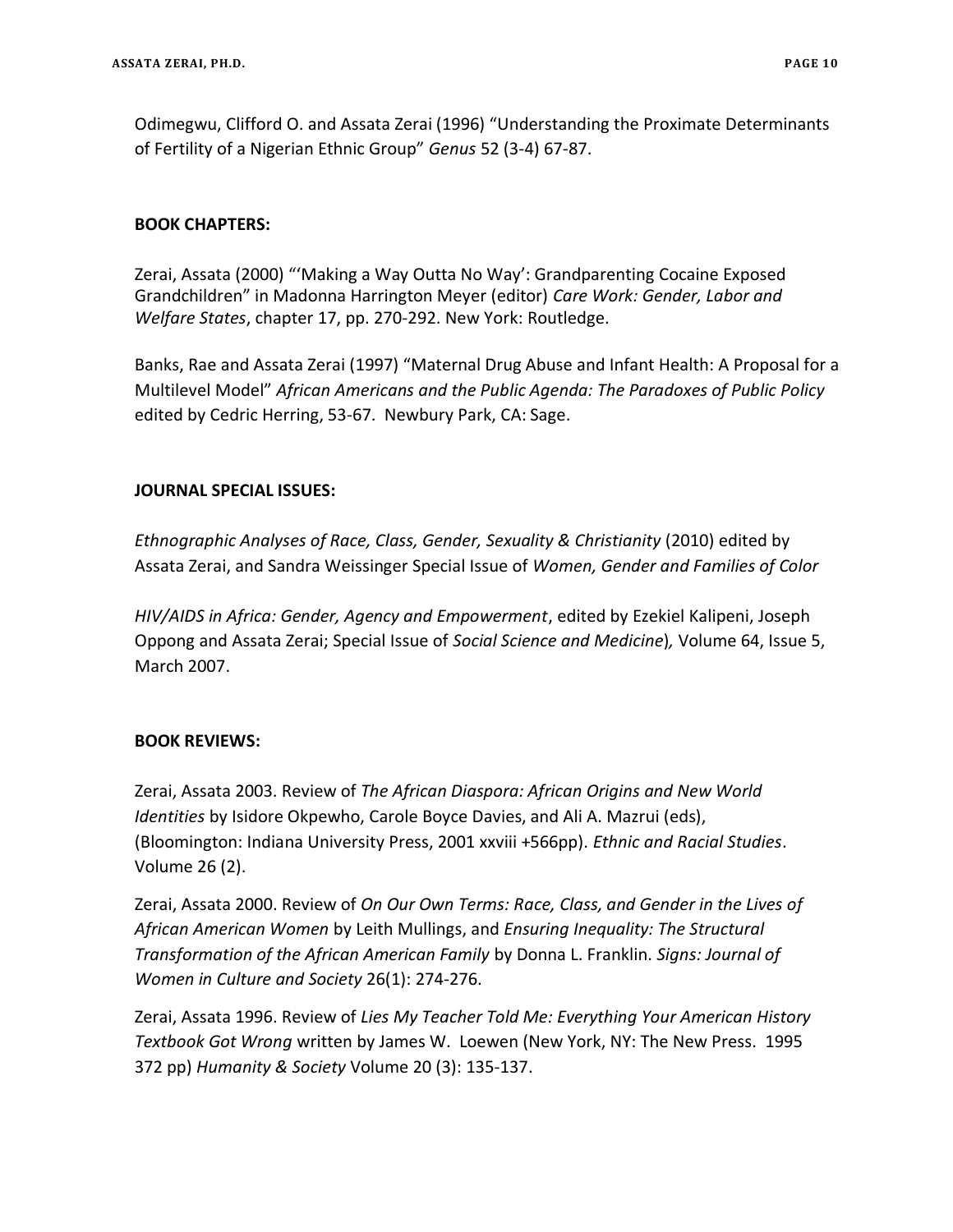Odimegwu, Clifford O. and Assata Zerai (1996) "Understanding the Proximate Determinants of Fertility of a Nigerian Ethnic Group" *Genus* 52 (3-4) 67-87.

## **BOOK CHAPTERS:**

Zerai, Assata (2000) "'Making a Way Outta No Way': Grandparenting Cocaine Exposed Grandchildren" in Madonna Harrington Meyer (editor) *Care Work: Gender, Labor and Welfare States*, chapter 17, pp. 270-292. New York: Routledge.

Banks, Rae and Assata Zerai (1997) "Maternal Drug Abuse and Infant Health: A Proposal for a Multilevel Model" *African Americans and the Public Agenda: The Paradoxes of Public Policy* edited by Cedric Herring, 53-67. Newbury Park, CA: Sage.

## **JOURNAL SPECIAL ISSUES:**

*Ethnographic Analyses of Race, Class, Gender, Sexuality & Christianity* (2010) edited by Assata Zerai, and Sandra Weissinger Special Issue of *Women, Gender and Families of Color*

*HIV/AIDS in Africa: Gender, Agency and Empowerment*, edited by Ezekiel Kalipeni, Joseph Oppong and Assata Zerai; Special Issue of *Social Science and Medicine*)*,* Volume 64, Issue 5, March 2007.

# **BOOK REVIEWS:**

Zerai, Assata 2003. Review of *The African Diaspora: African Origins and New World Identities* by Isidore Okpewho, Carole Boyce Davies, and Ali A. Mazrui (eds), (Bloomington: Indiana University Press, 2001 xxviii +566pp). *Ethnic and Racial Studies*. Volume 26 (2).

Zerai, Assata 2000. Review of *On Our Own Terms: Race, Class, and Gender in the Lives of African American Women* by Leith Mullings, and *Ensuring Inequality: The Structural Transformation of the African American Family* by Donna L. Franklin. *Signs: Journal of Women in Culture and Society* 26(1): 274-276.

Zerai, Assata 1996. Review of *Lies My Teacher Told Me: Everything Your American History Textbook Got Wrong* written by James W. Loewen (New York, NY: The New Press. 1995 372 pp) *Humanity & Society* Volume 20 (3): 135-137.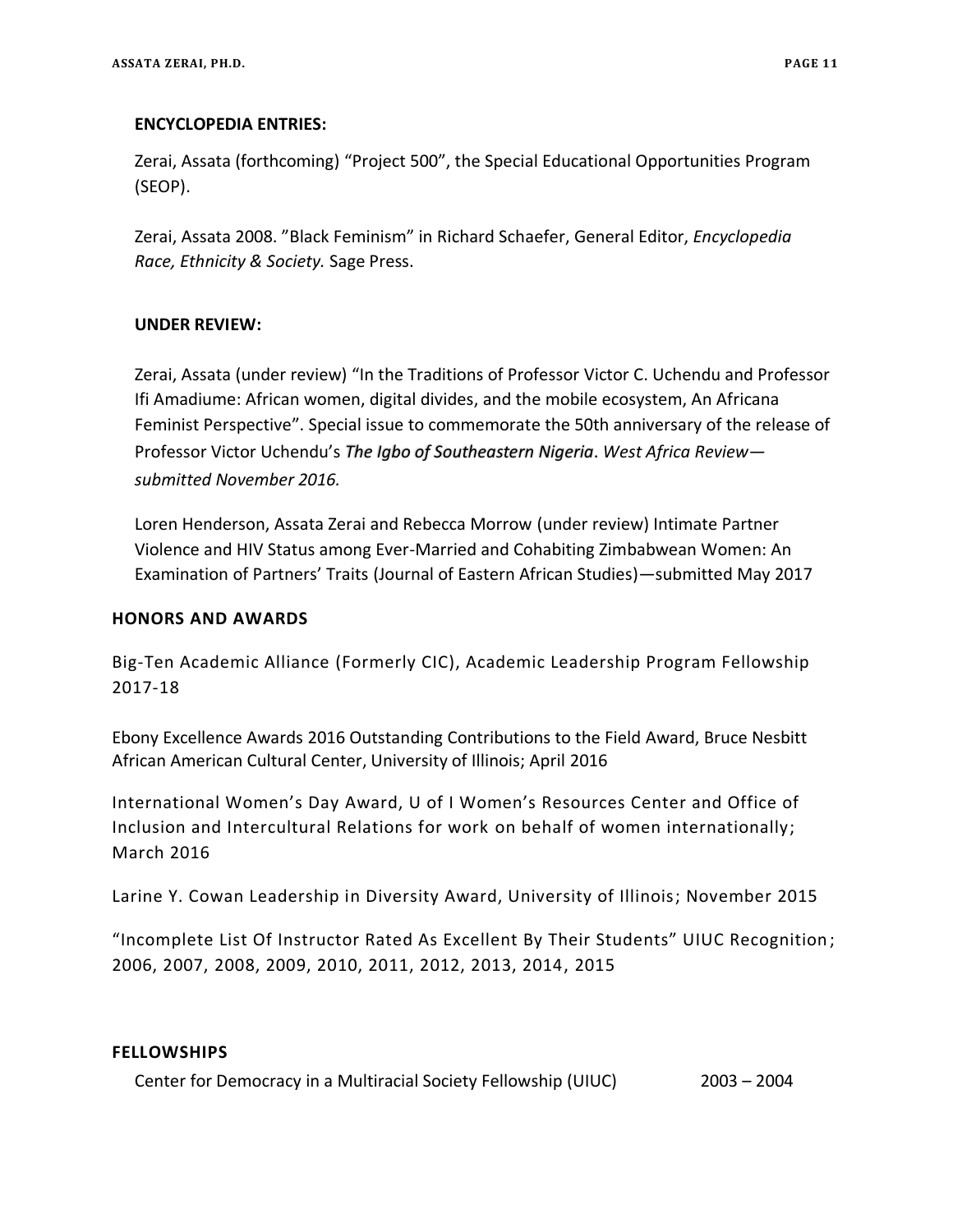#### **ENCYCLOPEDIA ENTRIES:**

Zerai, Assata (forthcoming) "Project 500", the Special Educational Opportunities Program (SEOP).

Zerai, Assata 2008. "Black Feminism" in Richard Schaefer, General Editor, *Encyclopedia Race, Ethnicity & Society.* Sage Press.

#### **UNDER REVIEW:**

Zerai, Assata (under review) "In the Traditions of Professor Victor C. Uchendu and Professor Ifi Amadiume: African women, digital divides, and the mobile ecosystem, An Africana Feminist Perspective". Special issue to commemorate the 50th anniversary of the release of Professor Victor Uchendu's *The Igbo of Southeastern Nigeria*. *West Africa Review submitted November 2016.*

Loren Henderson, Assata Zerai and Rebecca Morrow (under review) Intimate Partner Violence and HIV Status among Ever-Married and Cohabiting Zimbabwean Women: An Examination of Partners' Traits (Journal of Eastern African Studies)—submitted May 2017

#### **HONORS AND AWARDS**

Big-Ten Academic Alliance (Formerly CIC), Academic Leadership Program Fellowship 2017-18

Ebony Excellence Awards 2016 Outstanding Contributions to the Field Award, Bruce Nesbitt African American Cultural Center, University of Illinois; April 2016

International Women's Day Award, U of I Women's Resources Center and Office of Inclusion and Intercultural Relations for work on behalf of women internationally; March 2016

Larine Y. Cowan Leadership in Diversity Award, University of Illinois; November 2015

"Incomplete List Of Instructor Rated As Excellent By Their Students" UIUC Recognition ; 2006, 2007, 2008, 2009, 2010, 2011, 2012, 2013, 2014, 2015

#### **FELLOWSHIPS**

Center for Democracy in a Multiracial Society Fellowship (UIUC) 2003 – 2004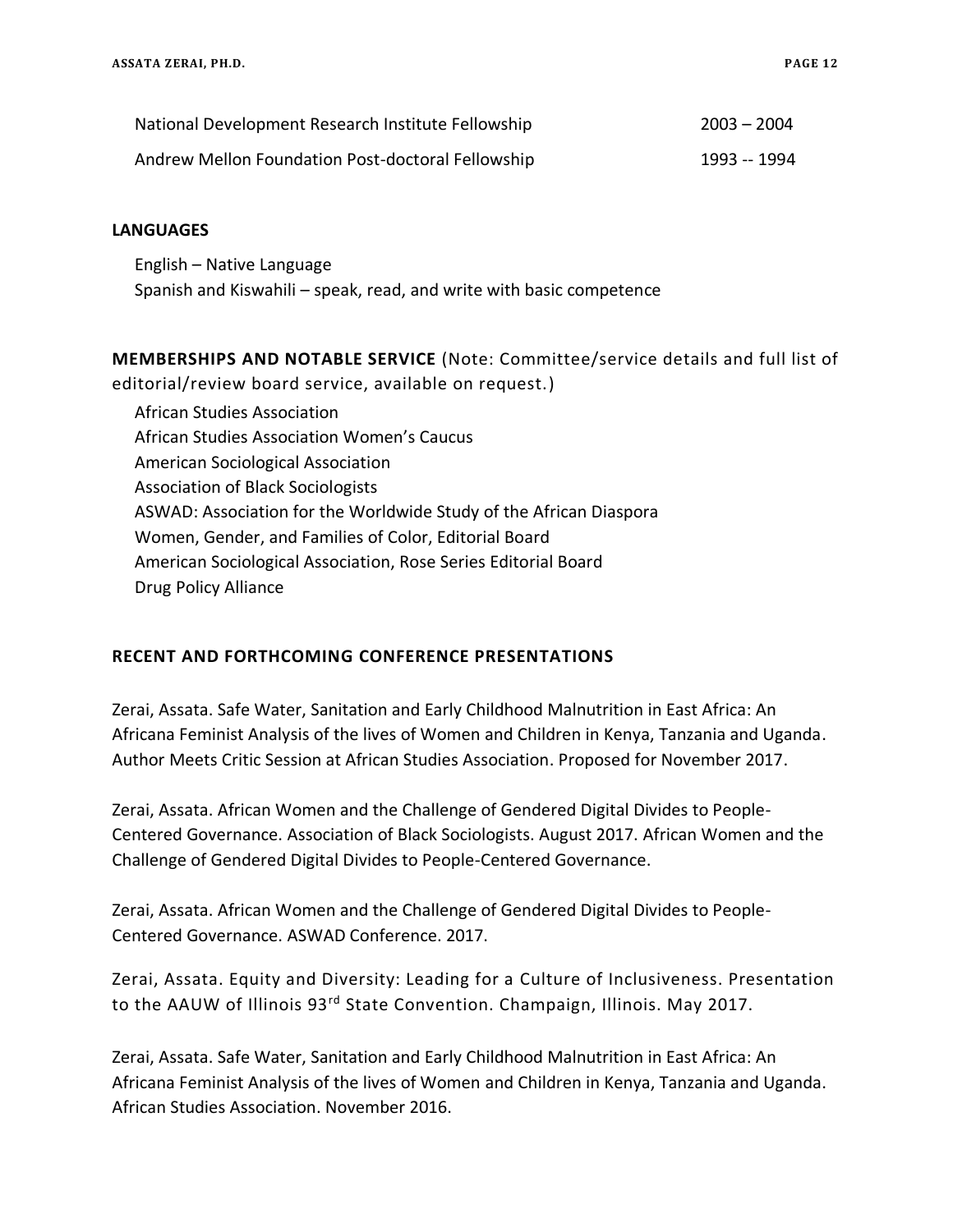| National Development Research Institute Fellowship | $2003 - 2004$ |
|----------------------------------------------------|---------------|
| Andrew Mellon Foundation Post-doctoral Fellowship  | 1993 -- 1994  |

#### **LANGUAGES**

English – Native Language Spanish and Kiswahili – speak, read, and write with basic competence

**MEMBERSHIPS AND NOTABLE SERVICE** (Note: Committee/service details and full list of editorial/review board service, available on request.)

African Studies Association African Studies Association Women's Caucus American Sociological Association Association of Black Sociologists ASWAD: Association for the Worldwide Study of the African Diaspora Women, Gender, and Families of Color, Editorial Board American Sociological Association, Rose Series Editorial Board Drug Policy Alliance

## **RECENT AND FORTHCOMING CONFERENCE PRESENTATIONS**

Zerai, Assata. Safe Water, Sanitation and Early Childhood Malnutrition in East Africa: An Africana Feminist Analysis of the lives of Women and Children in Kenya, Tanzania and Uganda. Author Meets Critic Session at African Studies Association. Proposed for November 2017.

Zerai, Assata. African Women and the Challenge of Gendered Digital Divides to People-Centered Governance. Association of Black Sociologists. August 2017. African Women and the Challenge of Gendered Digital Divides to People-Centered Governance.

Zerai, Assata. African Women and the Challenge of Gendered Digital Divides to People-Centered Governance. ASWAD Conference. 2017.

Zerai, Assata. Equity and Diversity: Leading for a Culture of Inclusiveness. Presentation to the AAUW of Illinois 93<sup>rd</sup> State Convention. Champaign, Illinois. May 2017.

Zerai, Assata. Safe Water, Sanitation and Early Childhood Malnutrition in East Africa: An Africana Feminist Analysis of the lives of Women and Children in Kenya, Tanzania and Uganda. African Studies Association. November 2016.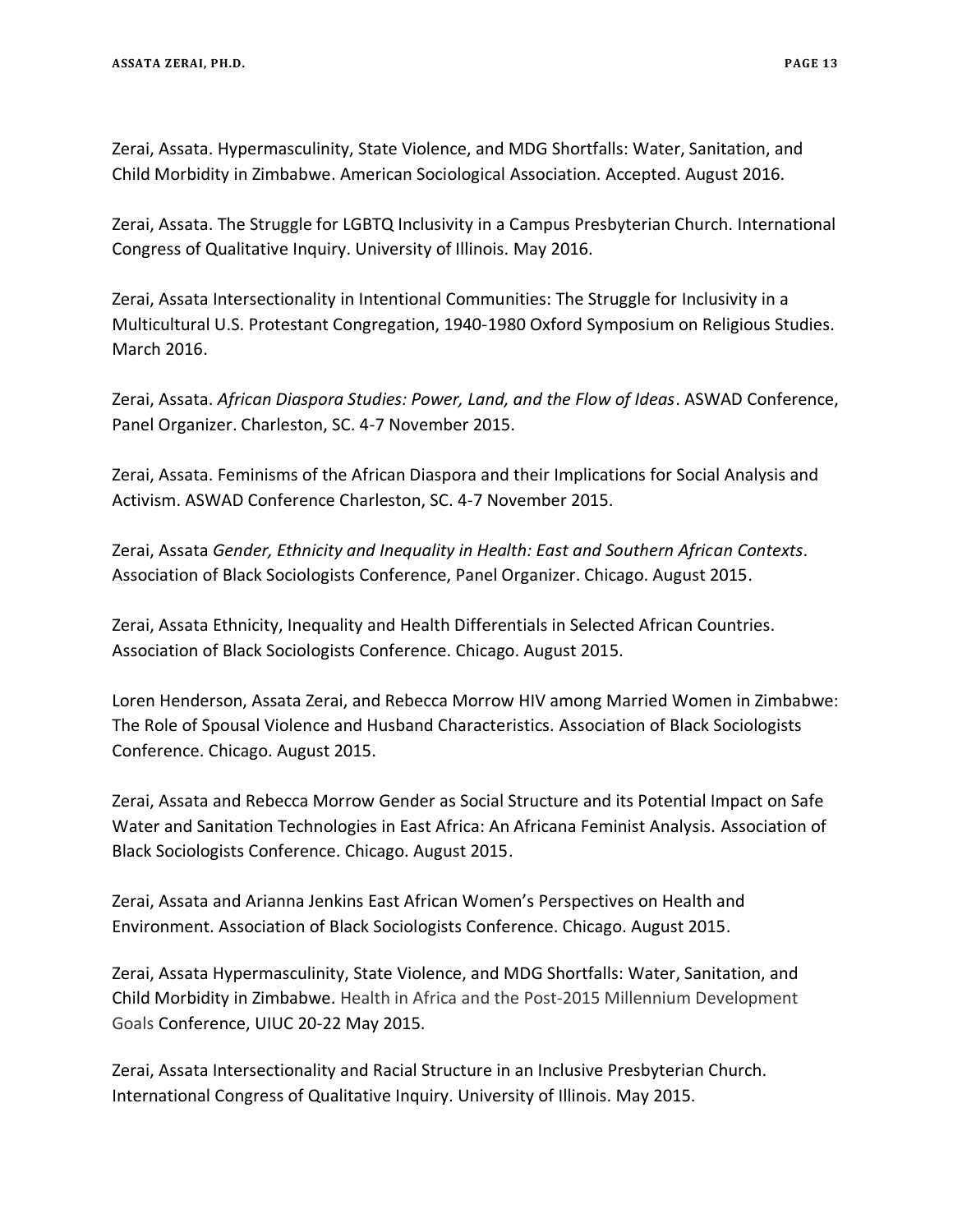Zerai, Assata. Hypermasculinity, State Violence, and MDG Shortfalls: Water, Sanitation, and Child Morbidity in Zimbabwe. American Sociological Association. Accepted. August 2016.

Zerai, Assata. The Struggle for LGBTQ Inclusivity in a Campus Presbyterian Church. International Congress of Qualitative Inquiry. University of Illinois. May 2016.

Zerai, Assata Intersectionality in Intentional Communities: The Struggle for Inclusivity in a Multicultural U.S. Protestant Congregation, 1940-1980 Oxford Symposium on Religious Studies. March 2016.

Zerai, Assata. *African Diaspora Studies: Power, Land, and the Flow of Ideas*. ASWAD Conference, Panel Organizer. Charleston, SC. 4-7 November 2015.

Zerai, Assata. Feminisms of the African Diaspora and their Implications for Social Analysis and Activism. ASWAD Conference Charleston, SC. 4-7 November 2015.

Zerai, Assata *Gender, Ethnicity and Inequality in Health: East and Southern African Contexts*. Association of Black Sociologists Conference, Panel Organizer. Chicago. August 2015.

Zerai, Assata Ethnicity, Inequality and Health Differentials in Selected African Countries. Association of Black Sociologists Conference. Chicago. August 2015.

Loren Henderson, Assata Zerai, and Rebecca Morrow HIV among Married Women in Zimbabwe: The Role of Spousal Violence and Husband Characteristics. Association of Black Sociologists Conference. Chicago. August 2015.

Zerai, Assata and Rebecca Morrow Gender as Social Structure and its Potential Impact on Safe Water and Sanitation Technologies in East Africa: An Africana Feminist Analysis. Association of Black Sociologists Conference. Chicago. August 2015.

Zerai, Assata and Arianna Jenkins East African Women's Perspectives on Health and Environment. Association of Black Sociologists Conference. Chicago. August 2015.

Zerai, Assata Hypermasculinity, State Violence, and MDG Shortfalls: Water, Sanitation, and Child Morbidity in Zimbabwe. Health in Africa and the Post-2015 Millennium Development Goals Conference, UIUC 20-22 May 2015.

Zerai, Assata Intersectionality and Racial Structure in an Inclusive Presbyterian Church. International Congress of Qualitative Inquiry. University of Illinois. May 2015.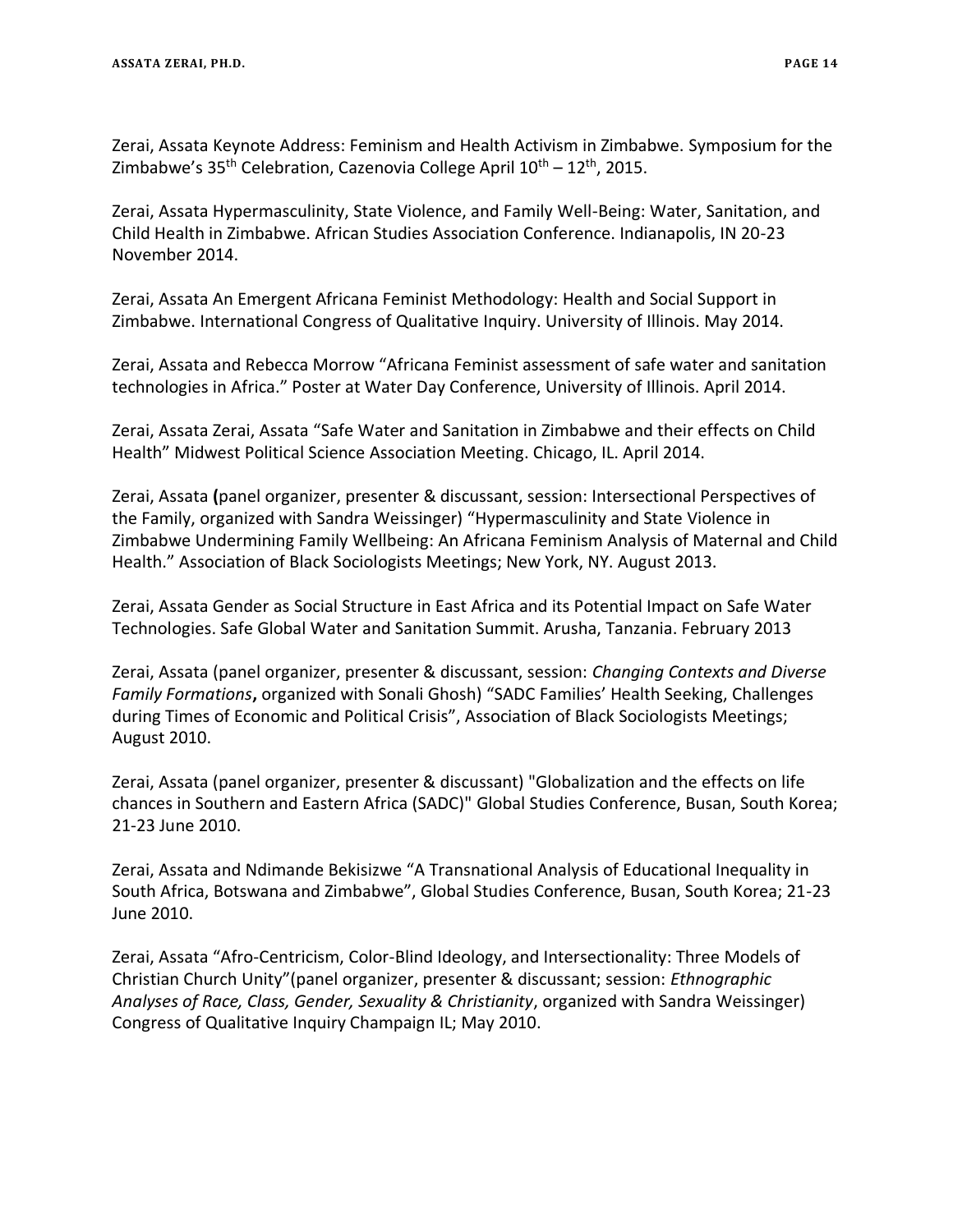Zerai, Assata Keynote Address: Feminism and Health Activism in Zimbabwe. Symposium for the Zimbabwe's  $35<sup>th</sup>$  Celebration, Cazenovia College April  $10<sup>th</sup> - 12<sup>th</sup>$ , 2015.

Zerai, Assata Hypermasculinity, State Violence, and Family Well-Being: Water, Sanitation, and Child Health in Zimbabwe. African Studies Association Conference. Indianapolis, IN 20-23 November 2014.

Zerai, Assata An Emergent Africana Feminist Methodology: Health and Social Support in Zimbabwe. International Congress of Qualitative Inquiry. University of Illinois. May 2014.

Zerai, Assata and Rebecca Morrow "Africana Feminist assessment of safe water and sanitation technologies in Africa." Poster at Water Day Conference, University of Illinois. April 2014.

Zerai, Assata Zerai, Assata "Safe Water and Sanitation in Zimbabwe and their effects on Child Health" Midwest Political Science Association Meeting. Chicago, IL. April 2014.

Zerai, Assata **(**panel organizer, presenter & discussant, session: Intersectional Perspectives of the Family, organized with Sandra Weissinger) "Hypermasculinity and State Violence in Zimbabwe Undermining Family Wellbeing: An Africana Feminism Analysis of Maternal and Child Health." Association of Black Sociologists Meetings; New York, NY. August 2013.

Zerai, Assata Gender as Social Structure in East Africa and its Potential Impact on Safe Water Technologies. Safe Global Water and Sanitation Summit. Arusha, Tanzania. February 2013

Zerai, Assata (panel organizer, presenter & discussant, session: *Changing Contexts and Diverse Family Formations***,** organized with Sonali Ghosh) "SADC Families' Health Seeking, Challenges during Times of Economic and Political Crisis", Association of Black Sociologists Meetings; August 2010.

Zerai, Assata (panel organizer, presenter & discussant) "Globalization and the effects on life chances in Southern and Eastern Africa (SADC)" Global Studies Conference, Busan, South Korea; 21-23 June 2010.

Zerai, Assata and Ndimande Bekisizwe "A Transnational Analysis of Educational Inequality in South Africa, Botswana and Zimbabwe", Global Studies Conference, Busan, South Korea; 21-23 June 2010.

Zerai, Assata "Afro-Centricism, Color-Blind Ideology, and Intersectionality: Three Models of Christian Church Unity"(panel organizer, presenter & discussant; session: *Ethnographic Analyses of Race, Class, Gender, Sexuality & Christianity*, organized with Sandra Weissinger) Congress of Qualitative Inquiry Champaign IL; May 2010.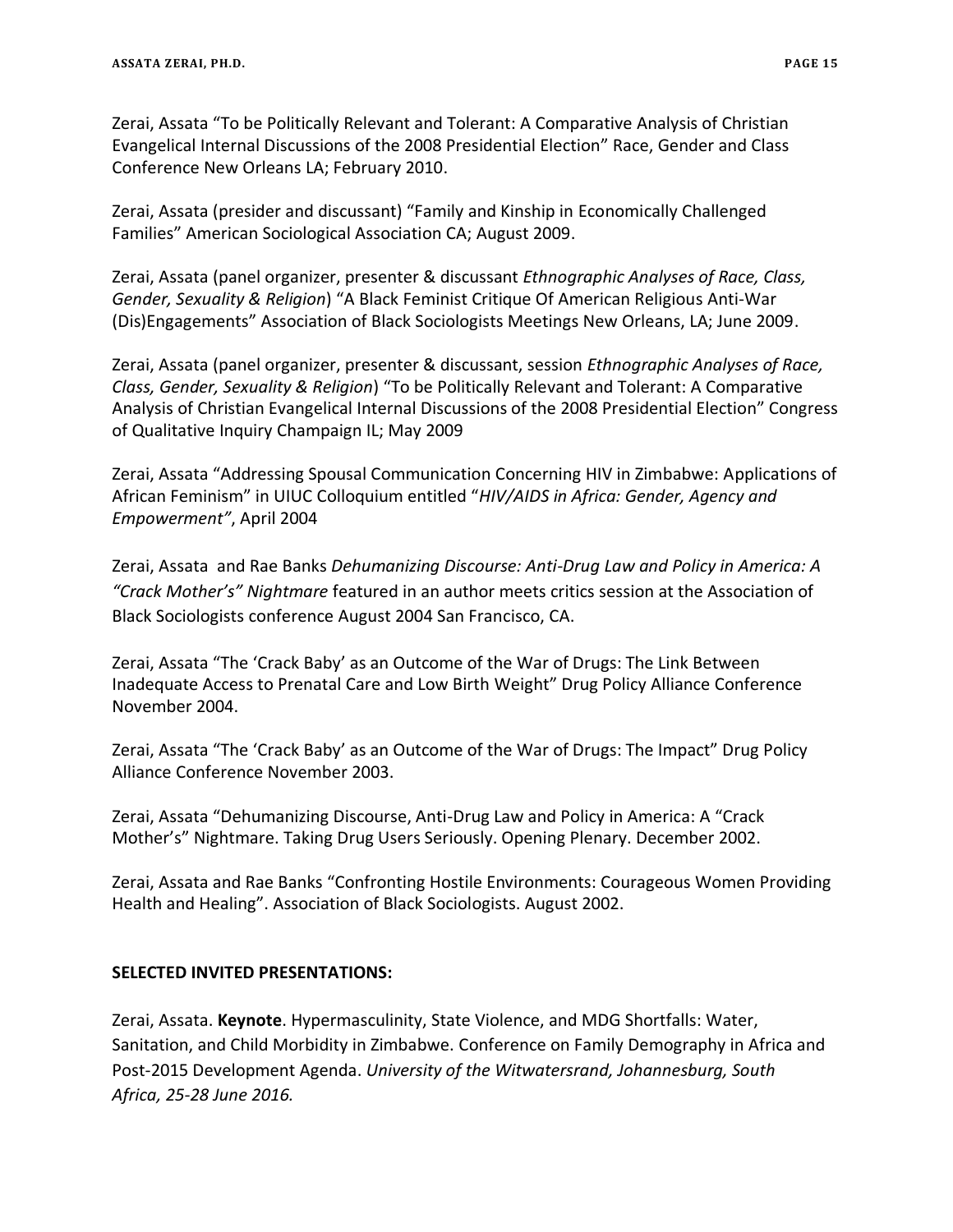Zerai, Assata "To be Politically Relevant and Tolerant: A Comparative Analysis of Christian Evangelical Internal Discussions of the 2008 Presidential Election" Race, Gender and Class Conference New Orleans LA; February 2010.

Zerai, Assata (presider and discussant) "Family and Kinship in Economically Challenged Families" American Sociological Association CA; August 2009.

Zerai, Assata (panel organizer, presenter & discussant *Ethnographic Analyses of Race, Class, Gender, Sexuality & Religion*) "A Black Feminist Critique Of American Religious Anti-War (Dis)Engagements" Association of Black Sociologists Meetings New Orleans, LA; June 2009.

Zerai, Assata (panel organizer, presenter & discussant, session *Ethnographic Analyses of Race, Class, Gender, Sexuality & Religion*) "To be Politically Relevant and Tolerant: A Comparative Analysis of Christian Evangelical Internal Discussions of the 2008 Presidential Election" Congress of Qualitative Inquiry Champaign IL; May 2009

Zerai, Assata "Addressing Spousal Communication Concerning HIV in Zimbabwe: Applications of African Feminism" in UIUC Colloquium entitled "*HIV/AIDS in Africa: Gender, Agency and Empowerment"*, April 2004

Zerai, Assata and Rae Banks *Dehumanizing Discourse: Anti-Drug Law and Policy in America: A "Crack Mother's" Nightmare* featured in an author meets critics session at the Association of Black Sociologists conference August 2004 San Francisco, CA.

Zerai, Assata "The 'Crack Baby' as an Outcome of the War of Drugs: The Link Between Inadequate Access to Prenatal Care and Low Birth Weight" Drug Policy Alliance Conference November 2004.

Zerai, Assata "The 'Crack Baby' as an Outcome of the War of Drugs: The Impact" Drug Policy Alliance Conference November 2003.

Zerai, Assata "Dehumanizing Discourse, Anti-Drug Law and Policy in America: A "Crack Mother's" Nightmare. Taking Drug Users Seriously. Opening Plenary. December 2002.

Zerai, Assata and Rae Banks "Confronting Hostile Environments: Courageous Women Providing Health and Healing". Association of Black Sociologists. August 2002.

# **SELECTED INVITED PRESENTATIONS:**

Zerai, Assata. **Keynote**. Hypermasculinity, State Violence, and MDG Shortfalls: Water, Sanitation, and Child Morbidity in Zimbabwe. Conference on Family Demography in Africa and Post-2015 Development Agenda. *University of the Witwatersrand, Johannesburg, South Africa, 25-28 June 2016.*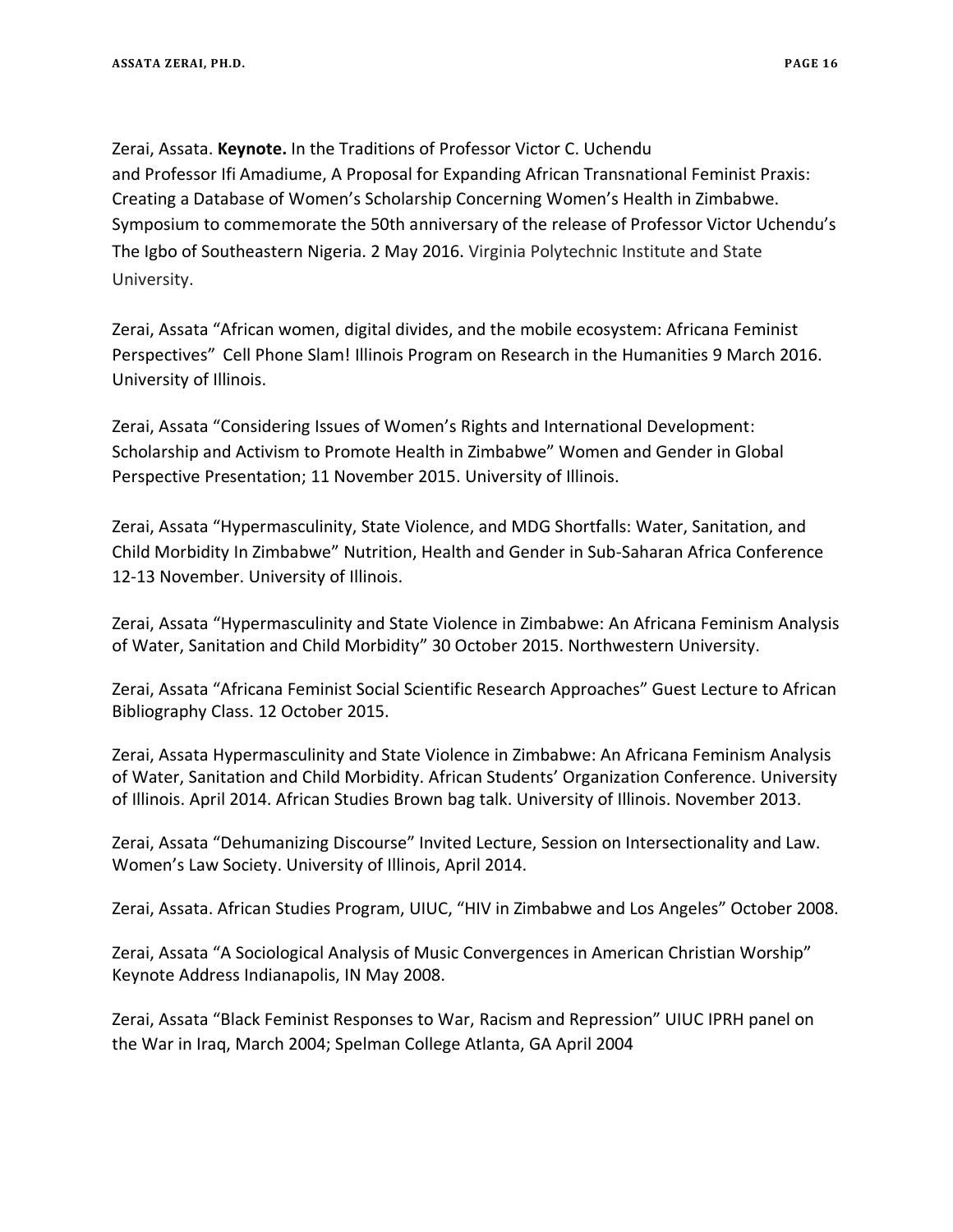Zerai, Assata. **Keynote.** In the Traditions of Professor Victor C. Uchendu and Professor Ifi Amadiume, A Proposal for Expanding African Transnational Feminist Praxis: Creating a Database of Women's Scholarship Concerning Women's Health in Zimbabwe. Symposium to commemorate the 50th anniversary of the release of Professor Victor Uchendu's The Igbo of Southeastern Nigeria. 2 May 2016. Virginia Polytechnic Institute and State University.

Zerai, Assata "African women, digital divides, and the mobile ecosystem: Africana Feminist Perspectives" Cell Phone Slam! Illinois Program on Research in the Humanities 9 March 2016. University of Illinois.

Zerai, Assata "Considering Issues of Women's Rights and International Development: Scholarship and Activism to Promote Health in Zimbabwe" Women and Gender in Global Perspective Presentation; 11 November 2015. University of Illinois.

Zerai, Assata "Hypermasculinity, State Violence, and MDG Shortfalls: Water, Sanitation, and Child Morbidity In Zimbabwe" Nutrition, Health and Gender in Sub-Saharan Africa Conference 12-13 November. University of Illinois.

Zerai, Assata "Hypermasculinity and State Violence in Zimbabwe: An Africana Feminism Analysis of Water, Sanitation and Child Morbidity" 30 October 2015. Northwestern University.

Zerai, Assata "Africana Feminist Social Scientific Research Approaches" Guest Lecture to African Bibliography Class. 12 October 2015.

Zerai, Assata Hypermasculinity and State Violence in Zimbabwe: An Africana Feminism Analysis of Water, Sanitation and Child Morbidity. African Students' Organization Conference. University of Illinois. April 2014. African Studies Brown bag talk. University of Illinois. November 2013.

Zerai, Assata "Dehumanizing Discourse" Invited Lecture, Session on Intersectionality and Law. Women's Law Society. University of Illinois, April 2014.

Zerai, Assata. African Studies Program, UIUC, "HIV in Zimbabwe and Los Angeles" October 2008.

Zerai, Assata "A Sociological Analysis of Music Convergences in American Christian Worship" Keynote Address Indianapolis, IN May 2008.

Zerai, Assata "Black Feminist Responses to War, Racism and Repression" UIUC IPRH panel on the War in Iraq, March 2004; Spelman College Atlanta, GA April 2004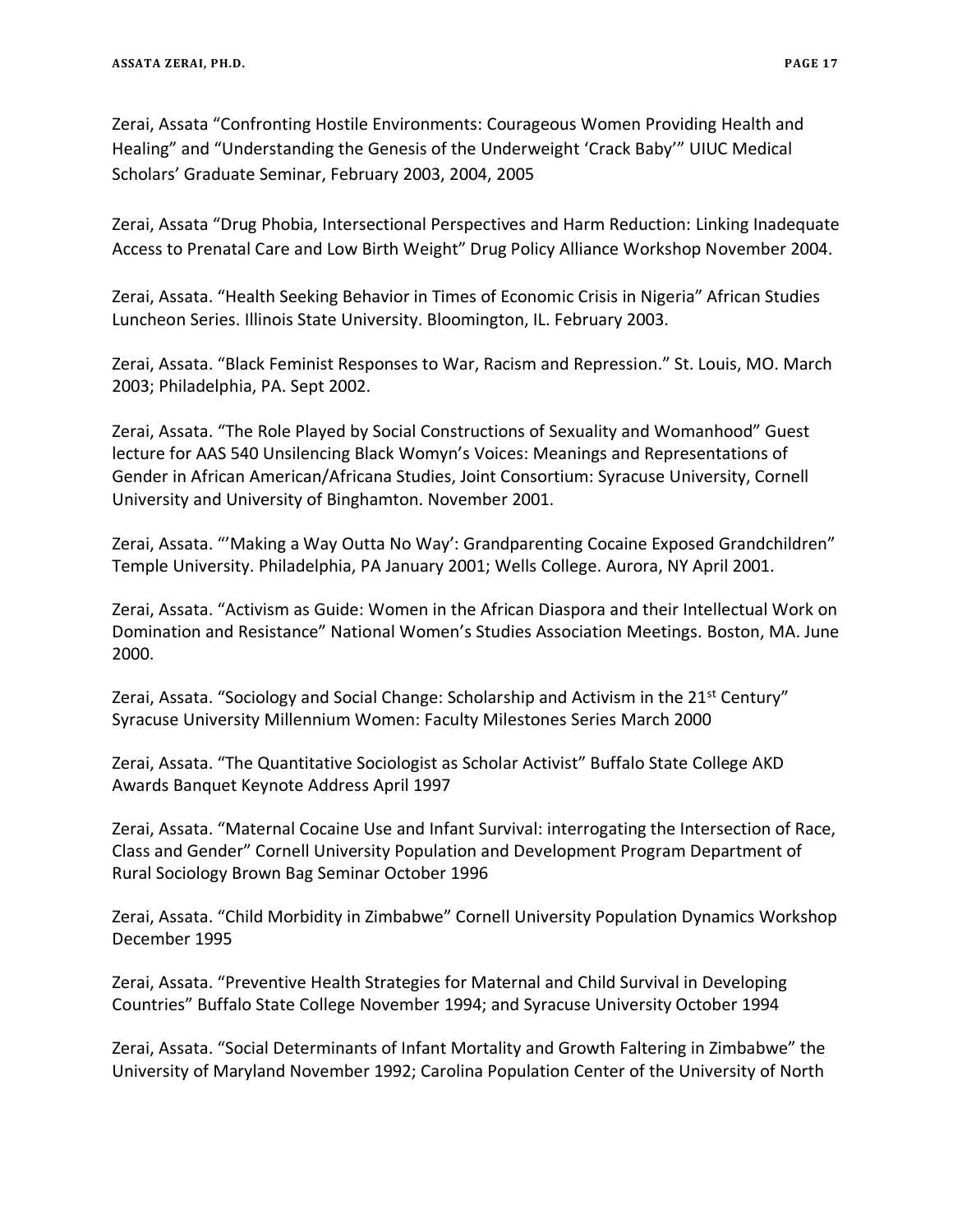Zerai, Assata "Confronting Hostile Environments: Courageous Women Providing Health and Healing" and "Understanding the Genesis of the Underweight 'Crack Baby'" UIUC Medical Scholars' Graduate Seminar, February 2003, 2004, 2005

Zerai, Assata "Drug Phobia, Intersectional Perspectives and Harm Reduction: Linking Inadequate Access to Prenatal Care and Low Birth Weight" Drug Policy Alliance Workshop November 2004.

Zerai, Assata. "Health Seeking Behavior in Times of Economic Crisis in Nigeria" African Studies Luncheon Series. Illinois State University. Bloomington, IL. February 2003.

Zerai, Assata. "Black Feminist Responses to War, Racism and Repression." St. Louis, MO. March 2003; Philadelphia, PA. Sept 2002.

Zerai, Assata. "The Role Played by Social Constructions of Sexuality and Womanhood" Guest lecture for AAS 540 Unsilencing Black Womyn's Voices: Meanings and Representations of Gender in African American/Africana Studies, Joint Consortium: Syracuse University, Cornell University and University of Binghamton. November 2001.

Zerai, Assata. "'Making a Way Outta No Way': Grandparenting Cocaine Exposed Grandchildren" Temple University. Philadelphia, PA January 2001; Wells College. Aurora, NY April 2001.

Zerai, Assata. "Activism as Guide: Women in the African Diaspora and their Intellectual Work on Domination and Resistance" National Women's Studies Association Meetings. Boston, MA. June 2000.

Zerai, Assata. "Sociology and Social Change: Scholarship and Activism in the 21<sup>st</sup> Century" Syracuse University Millennium Women: Faculty Milestones Series March 2000

Zerai, Assata. "The Quantitative Sociologist as Scholar Activist" Buffalo State College AKD Awards Banquet Keynote Address April 1997

Zerai, Assata. "Maternal Cocaine Use and Infant Survival: interrogating the Intersection of Race, Class and Gender" Cornell University Population and Development Program Department of Rural Sociology Brown Bag Seminar October 1996

Zerai, Assata. "Child Morbidity in Zimbabwe" Cornell University Population Dynamics Workshop December 1995

Zerai, Assata. "Preventive Health Strategies for Maternal and Child Survival in Developing Countries" Buffalo State College November 1994; and Syracuse University October 1994

Zerai, Assata. "Social Determinants of Infant Mortality and Growth Faltering in Zimbabwe" the University of Maryland November 1992; Carolina Population Center of the University of North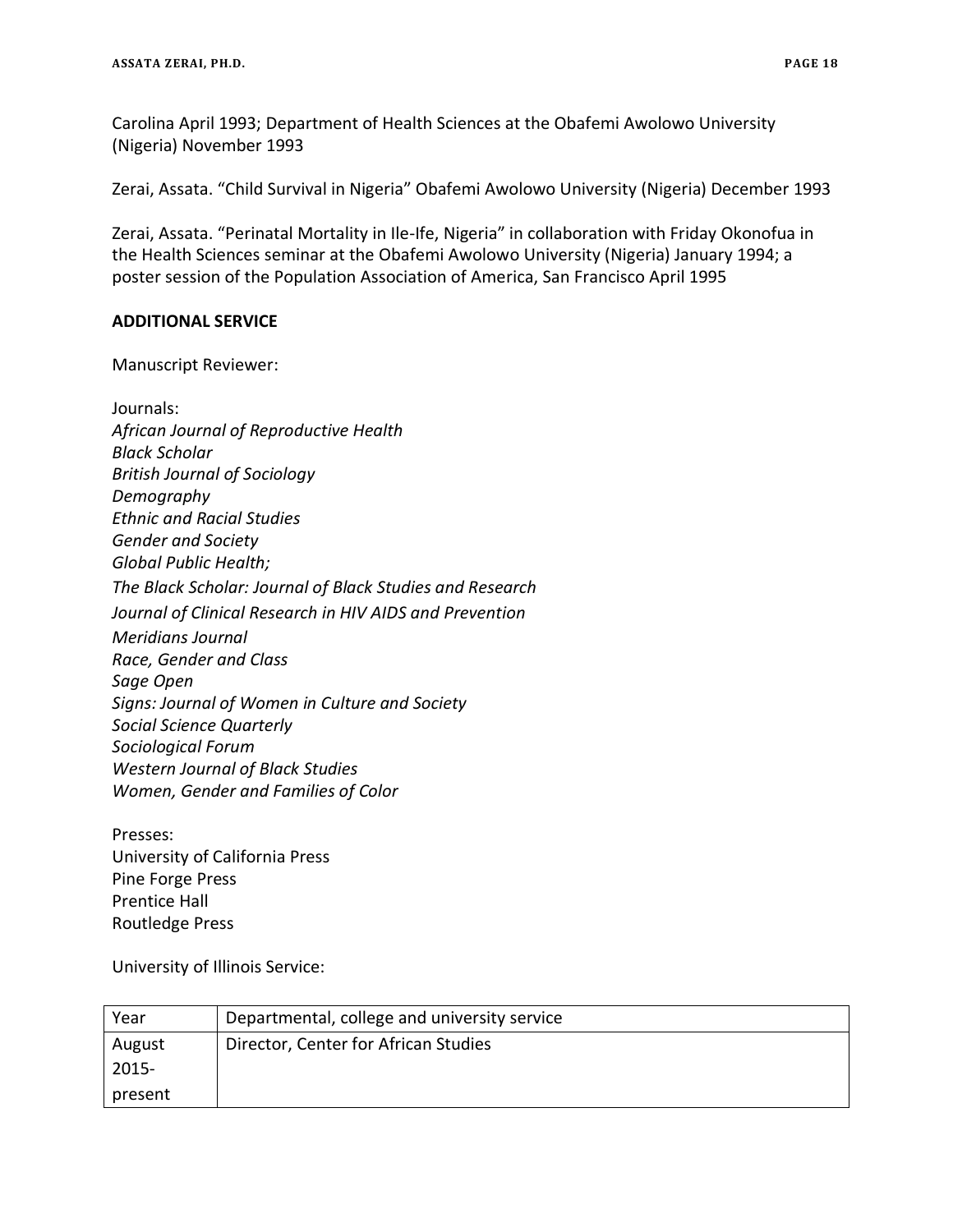Carolina April 1993; Department of Health Sciences at the Obafemi Awolowo University (Nigeria) November 1993

Zerai, Assata. "Child Survival in Nigeria" Obafemi Awolowo University (Nigeria) December 1993

Zerai, Assata. "Perinatal Mortality in Ile-Ife, Nigeria" in collaboration with Friday Okonofua in the Health Sciences seminar at the Obafemi Awolowo University (Nigeria) January 1994; a poster session of the Population Association of America, San Francisco April 1995

## **ADDITIONAL SERVICE**

Manuscript Reviewer:

Presses: University of California Press Pine Forge Press Prentice Hall Routledge Press

University of Illinois Service:

| Year     | Departmental, college and university service |
|----------|----------------------------------------------|
| August   | Director, Center for African Studies         |
| $2015 -$ |                                              |
| present  |                                              |